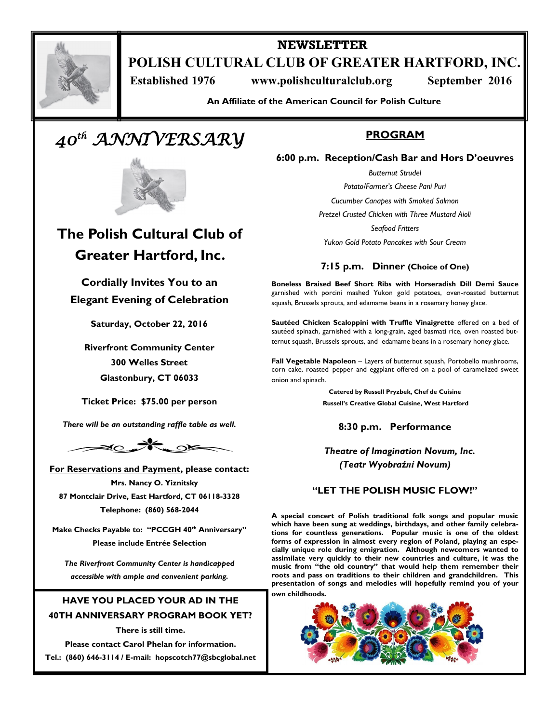

## **NEWSLETTER POLISH CULTURAL CLUB OF GREATER HARTFORD, INC.**

**Established 1976** www.polishculturalclub.org September 2016

**An Affiliate of the American Council for Polish Culture**

# *40th ANNIVERSARY*



## **The Polish Cultural Club of Greater Hartford, Inc.**

**Cordially Invites You to an Elegant Evening of Celebration** 

**Saturday, October 22, 2016**

**Riverfront Community Center 300 Welles Street Glastonbury, CT 06033**

**Ticket Price: \$75.00 per person**

*There will be an outstanding raffle table as well.*



**For Reservations and Payment, please contact: Mrs. Nancy O. Yiznitsky 87 Montclair Drive, East Hartford, CT 06118-3328 Telephone: (860) 568-2044**

**Make Checks Payable to: "PCCGH 40th Anniversary" Please include Entrée Selection**

*The Riverfront Community Center is handicapped accessible with ample and convenient parking.*

### **HAVE YOU PLACED YOUR AD IN THE**

**40TH ANNIVERSARY PROGRAM BOOK YET?**

**There is still time.**

**Please contact Carol Phelan for information. Tel.: (860) 646-3114 / E-mail: hopscotch77@sbcglobal.net**

## **PROGRAM**

**6:00 p.m. Reception/Cash Bar and Hors D'oeuvres**

*Butternut Strudel Potato/Farmer's Cheese Pani Puri*

*Cucumber Canapes with Smoked Salmon*

*Pretzel Crusted Chicken with Three Mustard Aioli* 

*Seafood Fritters Yukon Gold Potato Pancakes with Sour Cream*

## **7:15 p.m. Dinner (Choice of One)**

**Boneless Braised Beef Short Ribs with Horseradish Dill Demi Sauce** garnished with porcini mashed Yukon gold potatoes, oven-roasted butternut squash, Brussels sprouts, and edamame beans in a rosemary honey glace.

**Sautéed Chicken Scaloppini with Truffle Vinaigrette** offered on a bed of sautéed spinach, garnished with a long-grain, aged basmati rice, oven roasted butternut squash, Brussels sprouts, and edamame beans in a rosemary honey glace.

**Fall Vegetable Napoleon** – Layers of butternut squash, Portobello mushrooms, corn cake, roasted pepper and eggplant offered on a pool of caramelized sweet onion and spinach.

> **Catered by Russell Pryzbek, Chef de Cuisine Russell's Creative Global Cuisine, West Hartford**

## **8:30 p.m. Performance**

*Theatre of Imagination Novum, Inc. (Teatr Wyobraźni Novum)*

## **"LET THE POLISH MUSIC FLOW!"**

**A special concert of Polish traditional folk songs and popular music which have been sung at weddings, birthdays, and other family celebrations for countless generations. Popular music is one of the oldest forms of expression in almost every region of Poland, playing an especially unique role during emigration. Although newcomers wanted to assimilate very quickly to their new countries and culture, it was the music from "the old country" that would help them remember their roots and pass on traditions to their children and grandchildren. This presentation of songs and melodies will hopefully remind you of your own childhoods.**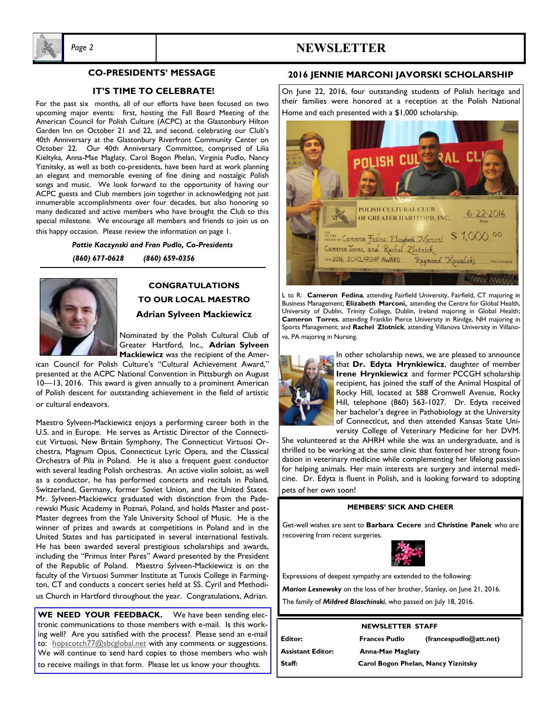

#### **CO-PRESIDENTS' MESSAGE**

#### **IT'S TIME TO CELEBRATE!**

For the past six months, all of our efforts have been focused on two upcoming major events: first, hosting the Fall Board Meeting of the American Council for Polish Culture (ACPC) at the Glastonbury Hilton Garden Inn on October 21 and 22, and second, celebrating our Club's 40th Anniversary at the Glastonbury Riverfront Community Center on October 22. Our 40th Anniversary Committee, comprised of Lilia Kieltyka, Anna-Mae Maglaty, Carol Bogon Phelan, Virginia Pudlo, Nancy Yiznitsky, as well as both co-presidents, have been hard at work planning an elegant and memorable evening of fine dining and nostalgic Polish songs and music. We look forward to the opportunity of having our ACPC guests and Club members join together in acknowledging not just innumerable accomplishments over four decades, but also honoring so many dedicated and active members who have brought the Club to this special milestone. We encourage all members and friends to join us on this happy occasion. Please review the information on page 1.

> *Pattie Kaczynski and Fran Pudlo, Co-Presidents (860) 677-0628 (860) 659-0356*



### **CONGRATULATIONS TO OUR LOCAL MAESTRO Adrian Sylveen Mackiewicz**

Nominated by the Polish Cultural Club of Greater Hartford, Inc., **Adrian Sylveen Mackiewicz** was the recipient of the Amer-

ican Council for Polish Culture's "Cultural Achievement Award," presented at the ACPC National Convention in Pittsburgh on August 10—13, 2016. This award is given annually to a prominent American of Polish descent for outstanding achievement in the field of artistic or cultural endeavors.

Maestro Sylveen-Mackiewicz enjoys a performing career both in the U.S. and in Europe. He serves as Artistic Director of the Connecticut Virtuosi, New Britain Symphony, The Connecticut Virtuosi Orchestra, Magnum Opus, Connecticut Lyric Opera, and the Classical Orchestra of Pila in Poland. He is also a frequent guest conductor with several leading Polish orchestras. An active violin soloist, as well as a conductor, he has performed concerts and recitals in Poland, Switzerland, Germany, former Soviet Union, and the United States. Mr. Sylveen-Mackiewicz graduated with distinction from the Paderewski Music Academy in Poznań, Poland, and holds Master and post-Master degrees from the Yale University School of Music. He is the winner of prizes and awards at competitions in Poland and in the United States and has participated in several international festivals. He has been awarded several prestigious scholarships and awards, including the "Primus Inter Pares" Award presented by the President of the Republic of Poland. Maestro Sylveen-Mackiewicz is on the faculty of the Virtuosi Summer Institute at Tunxis College in Farmington, CT and conducts a concert series held at SS. Cyril and Methodius Church in Hartford throughout the year. Congratulations, Adrian.

**WE NEED YOUR FEEDBACK.** We have been sending electronic communications to those members with e-mail. Is this working well? Are you satisfied with the process? Please send an e-mail to: hopscotch77@sbcglobal.net with any comments or suggestions. We will continue to send hard copies to those members who wish to receive mailings in that form. Please let us know your thoughts.

#### **2016 JENNIE MARCONI JAVORSKI SCHOLARSHIP**

On June 22, 2016, four outstanding students of Polish heritage and their families were honored at a reception at the Polish National Home and each presented with a \$1,000 scholarship.



L to R: **Cameron Fedina**, attending Fairfield University, Fairfield, CT majoring in Business Management; **Elizabeth Marconi,** attending the Centre for Global Health, University of Dublin, Trinity College, Dublin, Ireland majoring in Global Health; **Cameron Torres**, attending Franklin Pierce University in Rindge, NH majoring in Sports Management; and **Rachel Zlotnick**, attending Villanova University in Villanova, PA majoring in Nursing.



In other scholarship news, we are pleased to announce that **Dr. Edyta Hrynkiewicz**, daughter of member **Irene Hrynkiewicz** and former PCCGH scholarship recipient, has joined the staff of the Animal Hospital of Rocky Hill, located at 588 Cromwell Avenue, Rocky Hill, telephone (860) 563-1027. Dr. Edyta received her bachelor's degree in Pathobiology at the University of Connecticut, and then attended Kansas State University College of Veterinary Medicine for her DVM.

She volunteered at the AHRH while she was an undergraduate, and is thrilled to be working at the same clinic that fostered her strong foundation in veterinary medicine while complementing her lifelong passion for helping animals. Her main interests are surgery and internal medicine. Dr. Edyta is fluent in Polish, and is looking forward to adopting pets of her own soon!

#### **MEMBERS' SICK AND CHEER**

Get-well wishes are sent to **Barbara Cecere** and **Christine Panek** who are recovering from recent surgeries.



Expressions of deepest sympathy are extended to the following: *Marion Lesnewsky* on the loss of her brother, Stanley, on June 21, 2016.

The family of *Mildred Blaschinski*, who passed on July 18, 2016.

#### **NEWSLETTER STAFF**

**Assistant Editor: Anna-Mae Maglaty Staff: Carol Bogon Phelan, Nancy Yiznitsky**

**Editor: Frances Pudlo (francespudlo@att.net)**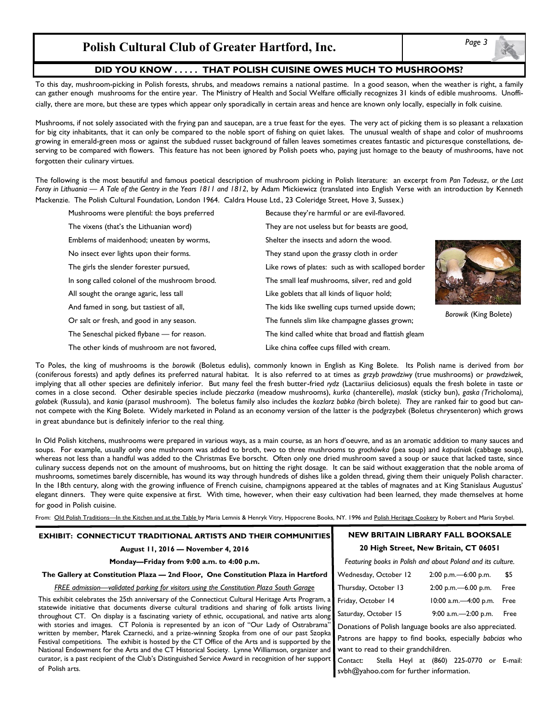## **Polish Cultural Club of Greater Hartford, Inc.**

#### **DID YOU KNOW . . . . . THAT POLISH CUISINE OWES MUCH TO MUSHROOMS?**

To this day, mushroom-picking in Polish forests, shrubs, and meadows remains a national pastime. In a good season, when the weather is right, a family can gather enough mushrooms for the entire year. The Ministry of Health and Social Welfare officially recognizes 31 kinds of edible mushrooms. Unofficially, there are more, but these are types which appear only sporadically in certain areas and hence are known only locally, especially in folk cuisine.

Mushrooms, if not solely associated with the frying pan and saucepan, are a true feast for the eyes. The very act of picking them is so pleasant a relaxation for big city inhabitants, that it can only be compared to the noble sport of fishing on quiet lakes. The unusual wealth of shape and color of mushrooms growing in emerald-green moss or against the subdued russet background of fallen leaves sometimes creates fantastic and picturesque constellations, deserving to be compared with flowers. This feature has not been ignored by Polish poets who, paying just homage to the beauty of mushrooms, have not forgotten their culinary virtues.

The following is the most beautiful and famous poetical description of mushroom picking in Polish literature: an excerpt from *Pan Tadeusz*, *or the Last Foray in Lithuania* — *A Tale of the Gentry in the Years 1811 and 1812*, by Adam Mickiewicz (translated into English Verse with an introduction by Kenneth Mackenzie. The Polish Cultural Foundation, London 1964. Caldra House Ltd., 23 Coleridge Street, Hove 3, Sussex.)

| Mushrooms were plentiful: the boys preferred  | Because they're harmful or are evil-flavored.       |
|-----------------------------------------------|-----------------------------------------------------|
| The vixens (that's the Lithuanian word)       | They are not useless but for beasts are good,       |
| Emblems of maidenhood; uneaten by worms,      | Shelter the insects and adorn the wood.             |
| No insect ever lights upon their forms.       | They stand upon the grassy cloth in order           |
| The girls the slender forester pursued,       | Like rows of plates: such as with scalloped border  |
| In song called colonel of the mushroom brood. | The small leaf mushrooms, silver, red and gold      |
| All sought the orange agaric, less tall       | Like goblets that all kinds of liquor hold;         |
| And famed in song, but tastiest of all,       | The kids like swelling cups turned upside down;     |
| Or salt or fresh, and good in any season.     | The funnels slim like champagne glasses grown;      |
| The Seneschal picked flybane - for reason.    | The kind called white that broad and flattish gleam |
| The other kinds of mushroom are not favored,  | Like china coffee cups filled with cream.           |



*Borowik* (King Bolete)

To Poles, the king of mushrooms is the *borowik* (Boletus edulis), commonly known in English as King Bolete. Its Polish name is derived from *bor* (coniferous forests) and aptly defines its preferred natural habitat. It is also referred to at times as *grzyb prawdziwy* (true mushrooms) or *prawdziwek,*  implying that all other species are definitely inferior. But many feel the fresh butter-fried *rydz* (Lactariius deliciosus) equals the fresh bolete in taste or comes in a close second. Other desirable species include *pieczarka* (meadow mushrooms), *kurka* (chanterelle), *maslak* (sticky bun), *gaska (T*richoloma*), golabek* (Russula), and *kania* (parasol mushroom). The boletus family also includes the *kozlarz babka (*birch bolete*). They* are ranked fair to good but cannot compete with the King Bolete. Widely marketed in Poland as an economy version of the latter is the *podgrzybek* (Boletus chrysenteron) which grows in great abundance but is definitely inferior to the real thing.

In Old Polish kitchens, mushrooms were prepared in various ways, as a main course, as an hors d'oeuvre, and as an aromatic addition to many sauces and soups. For example, usually only one mushroom was added to broth, two to three mushrooms to *grochówka* (pea soup) and *kapuśniak* (cabbage soup), whereas not less than a handful was added to the Christmas Eve borscht. Often only one dried mushroom saved a soup or sauce that lacked taste, since culinary success depends not on the amount of mushrooms, but on hitting the right dosage. It can be said without exaggeration that the noble aroma of mushrooms, sometimes barely discernible, has wound its way through hundreds of dishes like a golden thread, giving them their uniquely Polish character. In the 18th century, along with the growing influence of French cuisine, champignons appeared at the tables of magnates and at King Stanislaus Augustus' elegant dinners. They were quite expensive at first. With time, however, when their easy cultivation had been learned, they made themselves at home for good in Polish cuisine.

From: Old Polish Traditions—In the Kitchen and at the Table by Maria Lemnis & Henryk Vitry, Hippocrene Books, NY. 1996 and Polish Heritage Cookery by Robert and Maria Strybel.

| EXHIBIT: CONNECTICUT TRADITIONAL ARTISTS AND THEIR COMMUNITIES                                                                                                                                          | <b>NEW BRITAIN LIBRARY FALL BOOKSALE</b>                    |
|---------------------------------------------------------------------------------------------------------------------------------------------------------------------------------------------------------|-------------------------------------------------------------|
| August 11, 2016 - November 4, 2016                                                                                                                                                                      | 20 High Street, New Britain, CT 06051                       |
| Monday-Friday from 9:00 a.m. to 4:00 p.m.                                                                                                                                                               | Featuring books in Polish and about Poland and its culture. |
| The Gallery at Constitution Plaza - 2nd Floor, One Constitution Plaza in Hartford                                                                                                                       | Wednesday, October 12<br>\$5<br>$2:00$ p.m. -6:00 p.m.      |
| <b>FREE admission—validated parking for visitors using the Constitution Plaza South Garage</b>                                                                                                          | Thursday, October 13<br>$2:00$ p.m. -6.00 p.m.<br>Free      |
| This exhibit celebrates the 25th anniversary of the Connecticut Cultural Heritage Arts Program, a                                                                                                       | Friday, October 14<br>$10:00$ a.m. $-4:00$ p.m.<br>Free     |
| statewide initiative that documents diverse cultural traditions and sharing of folk artists living<br>throughout CT. On display is a fascinating variety of ethnic, occupational, and native arts along | Saturday, October 15<br>9:00 a.m. $-2:00$ p.m.<br>Free      |
| with stories and images. CT Polonia is represented by an icon of "Our Lady of Ostrabrama"                                                                                                               | Donations of Polish language books are also appreciated.    |
| written by member, Marek Czarnecki, and a prize-winning Szopka from one of our past Szopka<br>Festival competitions. The exhibit is hosted by the CT Office of the Arts and is supported by the         | Patrons are happy to find books, especially babcias who     |
| National Endowment for the Arts and the CT Historical Society. Lynne Williamson, organizer and                                                                                                          | want to read to their grandchildren.                        |
| curator, is a past recipient of the Club's Distinguished Service Award in recognition of her support                                                                                                    | Stella Heyl at (860) 225-0770<br>Contact:<br>or E-mail:     |
| of Polish arts.                                                                                                                                                                                         | sybh@yahoo.com for further information.                     |